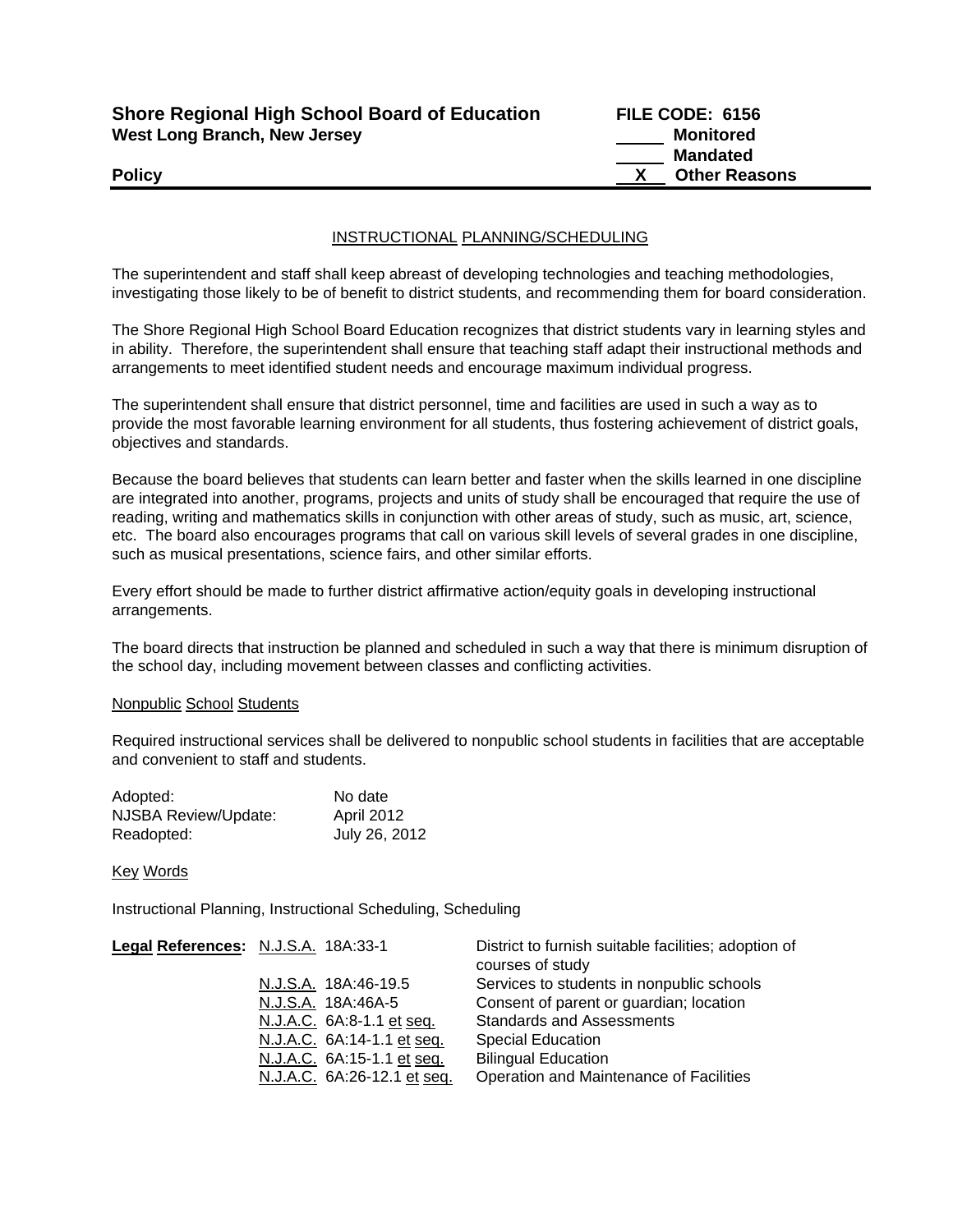| <b>Shore Regional High School Board of Education</b> |
|------------------------------------------------------|
| <b>West Long Branch, New Jersey</b>                  |

**FILE CODE: 6156 Monitored Mandated Policy CONSERVANT CONSERVANT CONSERVANT CONSERVANT CONSERVANT CONSERVANT CONSERVANT CONSERVANT CONSERVANT CONSERVANT CONSERVANT CONSERVANT CONSERVANT CONSERVANT CONSERVANT CONSERVANT CONSERVANT CONSERVANT CONSERVANT CON** 

## INSTRUCTIONAL PLANNING/SCHEDULING

The superintendent and staff shall keep abreast of developing technologies and teaching methodologies, investigating those likely to be of benefit to district students, and recommending them for board consideration.

The Shore Regional High School Board Education recognizes that district students vary in learning styles and in ability. Therefore, the superintendent shall ensure that teaching staff adapt their instructional methods and arrangements to meet identified student needs and encourage maximum individual progress.

The superintendent shall ensure that district personnel, time and facilities are used in such a way as to provide the most favorable learning environment for all students, thus fostering achievement of district goals, objectives and standards.

Because the board believes that students can learn better and faster when the skills learned in one discipline are integrated into another, programs, projects and units of study shall be encouraged that require the use of reading, writing and mathematics skills in conjunction with other areas of study, such as music, art, science, etc. The board also encourages programs that call on various skill levels of several grades in one discipline, such as musical presentations, science fairs, and other similar efforts.

Every effort should be made to further district affirmative action/equity goals in developing instructional arrangements.

The board directs that instruction be planned and scheduled in such a way that there is minimum disruption of the school day, including movement between classes and conflicting activities.

### Nonpublic School Students

Required instructional services shall be delivered to nonpublic school students in facilities that are acceptable and convenient to staff and students.

| Adopted:             | No date           |
|----------------------|-------------------|
| NJSBA Review/Update: | <b>April 2012</b> |
| Readopted:           | July 26, 2012     |

### Key Words

Instructional Planning, Instructional Scheduling, Scheduling

| Legal References: N.J.S.A. 18A:33-1 |                             | District to furnish suitable facilities; adoption of<br>courses of study |
|-------------------------------------|-----------------------------|--------------------------------------------------------------------------|
|                                     | N.J.S.A. 18A:46-19.5        | Services to students in nonpublic schools                                |
|                                     | N.J.S.A. 18A:46A-5          | Consent of parent or guardian; location                                  |
|                                     | N.J.A.C. 6A:8-1.1 et seq.   | <b>Standards and Assessments</b>                                         |
|                                     | N.J.A.C. 6A:14-1.1 et seq.  | <b>Special Education</b>                                                 |
|                                     | N.J.A.C. 6A:15-1.1 et seq.  | <b>Bilingual Education</b>                                               |
|                                     | N.J.A.C. 6A:26-12.1 et seq. | Operation and Maintenance of Facilities                                  |
|                                     |                             |                                                                          |